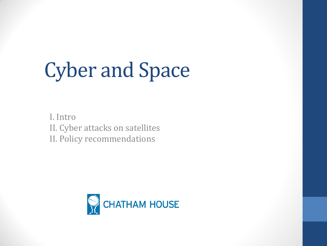# Cyber and Space

I. Intro II. Cyber attacks on satellites II. Policy recommendations

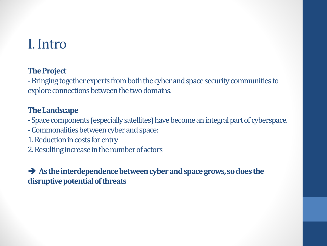### I. Intro

#### **The Project**

-Bringing together experts from both the cyber and space security communities to explore connections between the two domains.

#### **The Landscape**

-Space components (especially satellites) have become an integral part of cyberspace.

- -Commonalities between cyber and space:
- 1. Reduction in costs for entry
- 2. Resulting increase in the number of actors

As the interdependence between cyber and space grows, so does the **disruptive potential of threats**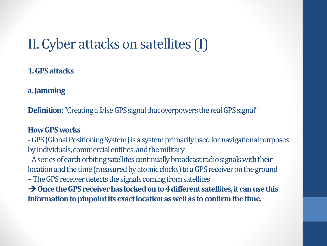## II. Cyber attacks on satellites (I)

### **1. GPS attacks**

**a. Jamming**

**Definition:** "Creating a false GPS signal that overpowers the real GPS signal"

#### **How GPS works**

-GPS (Global Positioning System) is a system primarily used for navigational purposes by individuals, commercial entities, and the military

-A series of earth orbiting satellites continually broadcast radio signals with their location and the time (measured by atomic clocks) to a GPS receiver on the ground

–The GPS receiver detects the signals coming from satellites

**→ Once the GPS receiver has locked on to 4 different satellites, it can use this information to pinpoint its exact location as well as to confirm the time.**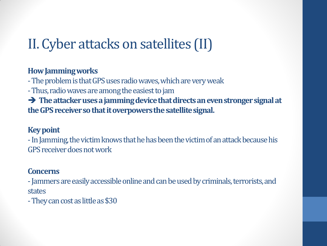# II. Cyber attacks on satellites (II)

#### **How Jamming works**

-The problem is that GPS uses radio waves, which are very weak

-Thus, radio waves are among the easiest to jam

 **The attacker uses a jamming device that directs an even stronger signal at the GPS receiver so that it overpowers the satellite signal.**

#### **Key point**

-In Jamming, the victim knows that he has been the victim of an attack because his GPS receiver does not work

#### **Concerns**

-Jammers are easily accessible online and can be used by criminals, terrorists, and states

-They can cost as little as \$30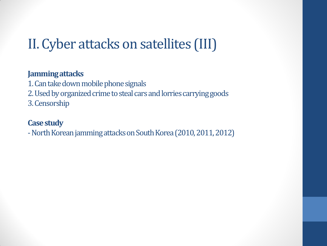# II. Cyber attacks on satellites (III)

#### **Jamming attacks**

1. Can take down mobile phone signals 2. Used by organized crime to steal cars and lorries carrying goods 3. Censorship

#### **Case study**

-North Korean jamming attacks on South Korea (2010, 2011, 2012)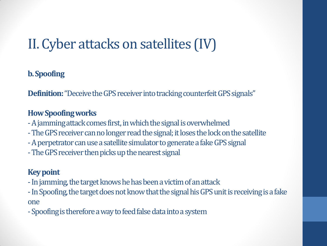# II. Cyber attacks on satellites (IV)

### **b. Spoofing**

**Definition:** "Deceive the GPS receiver into tracking counterfeit GPS signals"

### **How Spoofing works**

- -A jamming attack comes first, in which the signal is overwhelmed
- -The GPS receiver can no longer read the signal; it loses the lock on the satellite
- -A perpetrator can use a satellite simulator to generate a fake GPS signal
- -The GPS receiver then picks up the nearest signal

### **Key point**

- -In jamming, the target knows he has been a victim of an attack
- -In Spoofing, the target does not know that the signal his GPS unit is receiving is a fake one
- -Spoofing is therefore a way to feed false data into a system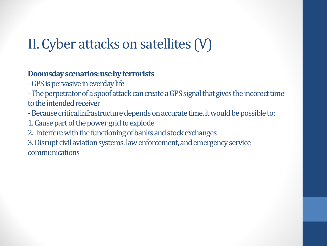# II. Cyber attacks on satellites (V)

### **Doomsday scenarios: use by terrorists**

-GPS is pervasive in everdaylife

-The perpetrator of a spoof attack can create a GPS signal that gives the incorecttime to the intended receiver

- -Because critical infrastructure depends on accurate time, it would be possible to:
- 1. Cause part of the power grid to explode
- 2. Interfere with the functioning of banks and stock exchanges

3. Disrupt civil aviation systems, law enforcement, and emergency service communications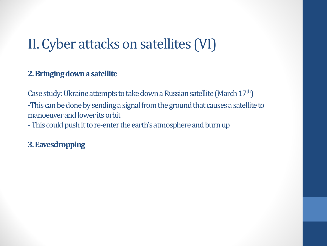## II. Cyber attacks on satellites (VI)

#### **2. Bringing down a satellite**

Case study: Ukraine attempts to take down a Russian satellite (March 17th) -This can be done by sending a signal from the ground that causes a satellite to manoeuver and lower its orbit -This could push it to re-enter the earth's atmosphere and burn up

**3. Eavesdropping**